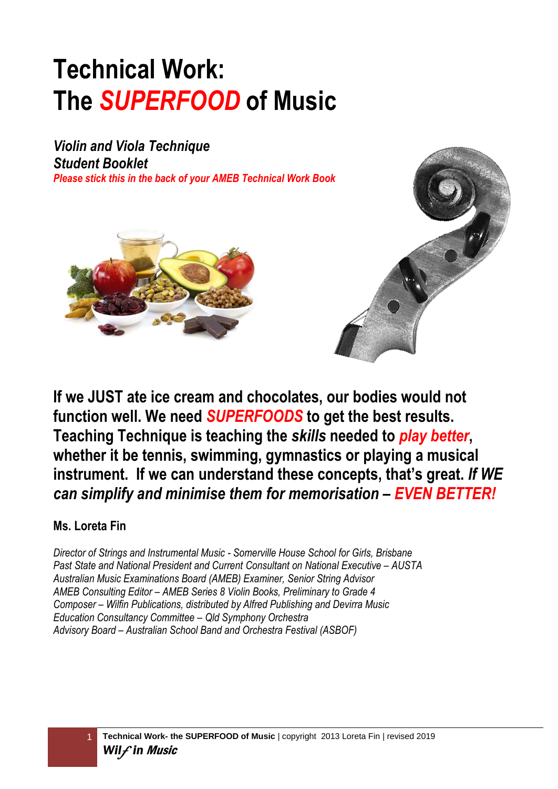# **Technical Work: The** *SUPERFOOD* **of Music**

*Violin and Viola Technique Student Booklet Please stick this in the back of your AMEB Technical Work Book*



**If we JUST ate ice cream and chocolates, our bodies would not function well. We need** *SUPERFOODS* **to get the best results. Teaching Technique is teaching the** *skills* **needed to** *play better***, whether it be tennis, swimming, gymnastics or playing a musical instrument. If we can understand these concepts, that's great.** *If WE can simplify and minimise them for memorisation – EVEN BETTER!*

### **Ms. Loreta Fin**

*Director of Strings and Instrumental Music - Somerville House School for Girls, Brisbane Past State and National President and Current Consultant on National Executive – AUSTA Australian Music Examinations Board (AMEB) Examiner, Senior String Advisor AMEB Consulting Editor – AMEB Series 8 Violin Books, Preliminary to Grade 4 Composer – Wilfin Publications, distributed by Alfred Publishing and Devirra Music Education Consultancy Committee – Qld Symphony Orchestra Advisory Board – Australian School Band and Orchestra Festival (ASBOF)*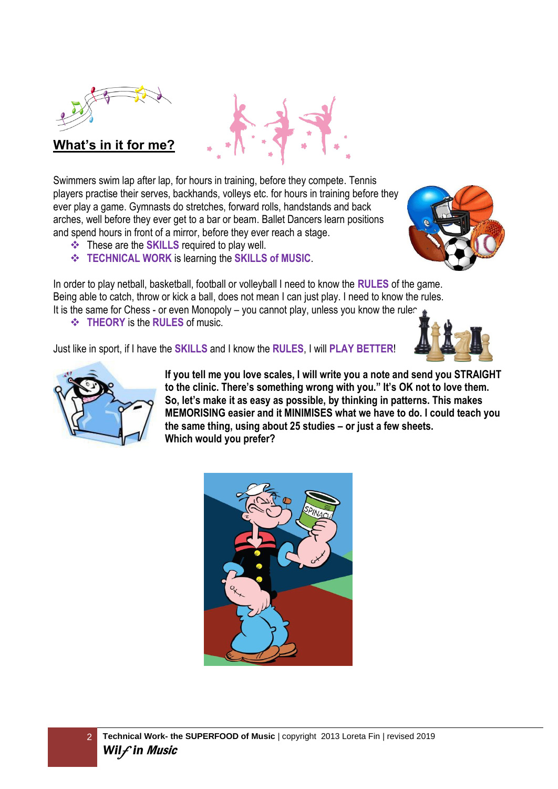



### **What's in it for me?**

Swimmers swim lap after lap, for hours in training, before they compete. Tennis players practise their serves, backhands, volleys etc. for hours in training before they ever play a game. Gymnasts do stretches, forward rolls, handstands and back arches, well before they ever get to a bar or beam. Ballet Dancers learn positions and spend hours in front of a mirror, before they ever reach a stage.

- ❖ These are the **SKILLS** required to play well.
- ❖ **TECHNICAL WORK** is learning the **SKILLS of MUSIC**.

In order to play netball, basketball, football or volleyball I need to know the **RULES** of the game. Being able to catch, throw or kick a ball, does not mean I can just play. I need to know the rules. It is the same for Chess - or even Monopoly – you cannot play, unless you know the rules ❖ **THEORY** is the **RULES** of music.

Just like in sport, if I have the **SKILLS** and I know the **RULES**, I will **PLAY BETTER**!





**If you tell me you love scales, I will write you a note and send you STRAIGHT to the clinic. There's something wrong with you." It's OK not to love them. So, let's make it as easy as possible, by thinking in patterns. This makes MEMORISING easier and it MINIMISES what we have to do. I could teach you the same thing, using about 25 studies – or just a few sheets. Which would you prefer?**



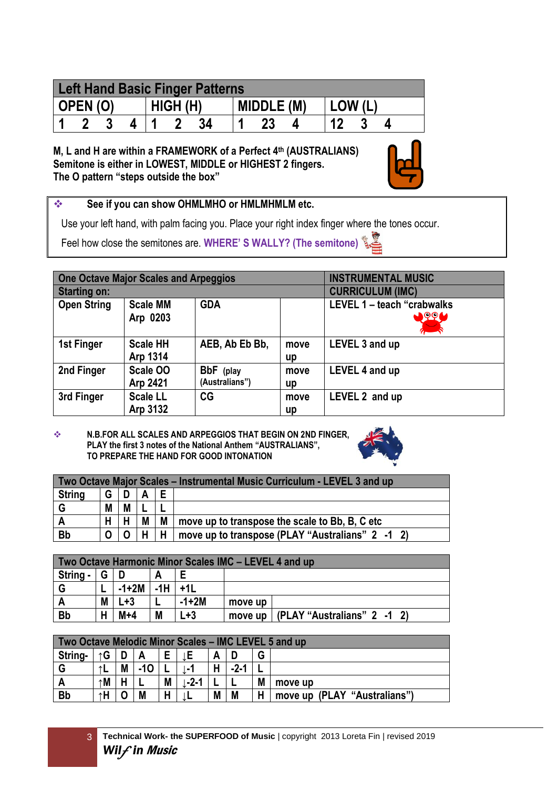| <b>Left Hand Basic Finger Patterns</b> |  |  |  |          |  |  |            |  |  |        |  |  |
|----------------------------------------|--|--|--|----------|--|--|------------|--|--|--------|--|--|
| OPEN (O)                               |  |  |  | HIGH (H) |  |  | MIDDLE (M) |  |  | LOW (L |  |  |
|                                        |  |  |  |          |  |  |            |  |  |        |  |  |

**M, L and H are within a FRAMEWORK of a Perfect 4th (AUSTRALIANS) Semitone is either in LOWEST, MIDDLE or HIGHEST 2 fingers. The O pattern "steps outside the box"** 



### ❖ **See if you can show OHMLMHO or HMLMHMLM etc.**

Use your left hand, with palm facing you. Place your right index finger where the tones occur.

Feel how close the semitones are. **WHERE' S WALLY? (The semitone)** 

|                     | <b>One Octave Major Scales and Arpeggios</b> |                             |                         | <b>INSTRUMENTAL MUSIC</b>                 |
|---------------------|----------------------------------------------|-----------------------------|-------------------------|-------------------------------------------|
| <b>Starting on:</b> |                                              |                             | <b>CURRICULUM (IMC)</b> |                                           |
| <b>Open String</b>  | <b>Scale MM</b><br>Arp 0203                  | <b>GDA</b>                  |                         | LEVEL 1 - teach "crabwalks<br><b>JOGA</b> |
| 1st Finger          | <b>Scale HH</b><br>Arp 1314                  | AEB, Ab Eb Bb,              | move<br>up              | LEVEL 3 and up                            |
| 2nd Finger          | Scale OO<br>Arp 2421                         | BbF (play<br>(Australians") | move<br>up              | LEVEL 4 and up                            |
| 3rd Finger          | <b>Scale LL</b><br>Arp 3132                  | CG                          | move<br>up              | LEVEL 2 and up                            |

❖ **N.B.FOR ALL SCALES AND ARPEGGIOS THAT BEGIN ON 2ND FINGER, PLAY the first 3 notes of the National Anthem "AUSTRALIANS", TO PREPARE THE HAND FOR GOOD INTONATION** 



|               | Two Octave Major Scales – Instrumental Music Curriculum - LEVEL 3 and up |   |   |   |                                                  |  |  |  |  |  |  |
|---------------|--------------------------------------------------------------------------|---|---|---|--------------------------------------------------|--|--|--|--|--|--|
| <b>String</b> | G                                                                        |   |   |   |                                                  |  |  |  |  |  |  |
|               | M                                                                        | M |   |   |                                                  |  |  |  |  |  |  |
| A             | н                                                                        | н | M | M | move up to transpose the scale to Bb, B, C etc   |  |  |  |  |  |  |
| <b>Bb</b>     | O                                                                        |   |   | Н | move up to transpose (PLAY "Australians" 2 -1 2) |  |  |  |  |  |  |

|           | Two Octave Harmonic Minor Scales IMC - LEVEL 4 and up |         |           |         |         |                             |  |  |  |  |  |  |
|-----------|-------------------------------------------------------|---------|-----------|---------|---------|-----------------------------|--|--|--|--|--|--|
| String -  | G.                                                    |         |           |         |         |                             |  |  |  |  |  |  |
| G         |                                                       | $-1+2M$ | $-1H$ +1L |         |         |                             |  |  |  |  |  |  |
| A         | M                                                     | $L + 3$ |           | $-1+2M$ | move up |                             |  |  |  |  |  |  |
| <b>Bb</b> |                                                       | $M+4$   | M         | ∟+3     | move up | (PLAY "Australians" 2 -1 2) |  |  |  |  |  |  |

|           | Two Octave Melodic Minor Scales – IMC LEVEL 5 and up |   |       |   |          |   |        |   |                              |  |  |  |  |
|-----------|------------------------------------------------------|---|-------|---|----------|---|--------|---|------------------------------|--|--|--|--|
| String-   | G<br>↑G                                              |   |       |   |          |   |        |   |                              |  |  |  |  |
|           |                                                      | M | $-10$ |   |          | н | $-2-1$ |   |                              |  |  |  |  |
|           | ↑M                                                   |   |       | M | $-2 - 1$ |   |        | M | move up                      |  |  |  |  |
| <b>Bb</b> | ↑H                                                   |   | M     | н |          | M | M      | Н | move up (PLAY "Australians") |  |  |  |  |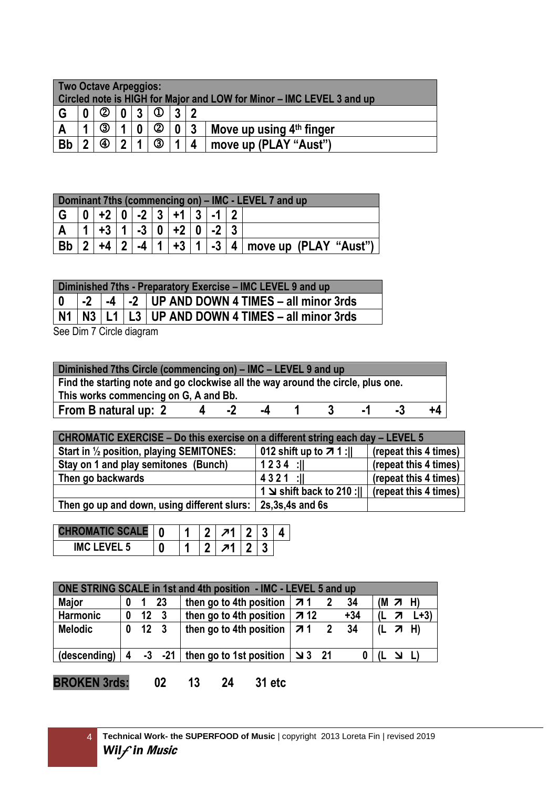| <b>Two Octave Arpeggios:</b> |                                                |   |    |  |   |                         |           | Circled note is HIGH for Major and LOW for Minor – IMC LEVEL 3 and up |  |  |  |
|------------------------------|------------------------------------------------|---|----|--|---|-------------------------|-----------|-----------------------------------------------------------------------|--|--|--|
| G                            | $\circledcirc$<br>$\boldsymbol{0}$<br>. ?<br>n |   |    |  |   |                         |           |                                                                       |  |  |  |
|                              | 4                                              | ③ |    |  | ② | $\mathbf{0}$            | $\vert$ 3 | Move up using 4th finger                                              |  |  |  |
| <b>Bb</b>                    | C                                              | ④ | ົາ |  | ③ | $\overline{\mathbf{A}}$ |           | move up (PLAY "Aust")                                                 |  |  |  |

|                                     | Dominant 7ths (commencing on) – IMC - LEVEL 7 and up |          |  |             |  |                       |  |  |  |                                         |  |  |  |
|-------------------------------------|------------------------------------------------------|----------|--|-------------|--|-----------------------|--|--|--|-----------------------------------------|--|--|--|
| 0   +2   0   -2   3   +1   3  <br>G |                                                      |          |  |             |  |                       |  |  |  |                                         |  |  |  |
|                                     |                                                      | $+3$   1 |  |             |  | $  -3   0   +2   0  $ |  |  |  |                                         |  |  |  |
|                                     |                                                      | $+4$ 2   |  | $-4 \mid 1$ |  |                       |  |  |  | $ +3 1 $ -3   4   move up (PLAY "Aust") |  |  |  |

|                         | Diminished 7ths - Preparatory Exercise – IMC LEVEL 9 and up                   |  |  |                                                           |  |  |  |  |  |
|-------------------------|-------------------------------------------------------------------------------|--|--|-----------------------------------------------------------|--|--|--|--|--|
| $\overline{\mathbf{0}}$ | $\vert$ -2 $\vert$ -4 $\vert$ -2 $\vert$ UP AND DOWN 4 TIMES – all minor 3rds |  |  |                                                           |  |  |  |  |  |
|                         |                                                                               |  |  | $\sqrt{N1/N3}$ L1 L3 UP AND DOWN 4 TIMES – all minor 3rds |  |  |  |  |  |

See Dim 7 Circle diagram

| Diminished 7ths Circle (commencing on) – IMC – LEVEL 9 and up                    |  |  |  |  |  |  |  |  |  |  |
|----------------------------------------------------------------------------------|--|--|--|--|--|--|--|--|--|--|
| Find the starting note and go clockwise all the way around the circle, plus one. |  |  |  |  |  |  |  |  |  |  |
| This works commencing on G, A and Bb.                                            |  |  |  |  |  |  |  |  |  |  |
| From B natural up: 2<br>+4<br>-4<br>$\mathbf{L}$                                 |  |  |  |  |  |  |  |  |  |  |

| CHROMATIC EXERCISE – Do this exercise on a different string each day – LEVEL 5 |                                                        |                       |  |  |  |  |  |  |  |  |
|--------------------------------------------------------------------------------|--------------------------------------------------------|-----------------------|--|--|--|--|--|--|--|--|
| Start in 1/2 position, playing SEMITONES:                                      | 012 shift up to $71$ :                                 | (repeat this 4 times) |  |  |  |  |  |  |  |  |
| Stay on 1 and play semitones (Bunch)                                           | $1234$ :                                               | (repeat this 4 times) |  |  |  |  |  |  |  |  |
| Then go backwards                                                              | $4321$ :                                               | (repeat this 4 times) |  |  |  |  |  |  |  |  |
|                                                                                | 1 $\le$ shift back to 210 :      (repeat this 4 times) |                       |  |  |  |  |  |  |  |  |
| Then go up and down, using different slurs: 2s,3s,4s and 6s                    |                                                        |                       |  |  |  |  |  |  |  |  |

|                       | 0 |  |   |  |  |
|-----------------------|---|--|---|--|--|
| <b>IMC</b><br>EVEL 5. | u |  | 7 |  |  |

|                 | ONE STRING SCALE in 1st and 4th position - IMC - LEVEL 5 and up |                |              |                                                                                                             |    |  |       |  |                |                |  |  |  |
|-----------------|-----------------------------------------------------------------|----------------|--------------|-------------------------------------------------------------------------------------------------------------|----|--|-------|--|----------------|----------------|--|--|--|
| <b>Major</b>    | $\bf{0}$                                                        | $\blacksquare$ | 23           | then go to 4th position                                                                                     | 71 |  | 34    |  | $(M \times H)$ |                |  |  |  |
| <b>Harmonic</b> | 0                                                               |                | $12 \quad 3$ | then go to 4th position $\vert$ 7 12                                                                        |    |  | $+34$ |  | 7              | $L+3$          |  |  |  |
| <b>Melodic</b>  | $\bf{0}$                                                        |                | $12 \quad 3$ | then go to 4th position $ \vec{v} $ 1 2                                                                     |    |  | - 34  |  |                | $(L \times H)$ |  |  |  |
| (descending)    |                                                                 |                |              | $\begin{array}{cc} 4 & -3 & -21 \end{array}$ then go to 1st position $\begin{array}{cc} 3 & 21 \end{array}$ |    |  |       |  | <u>ו צ</u>     |                |  |  |  |
|                 |                                                                 |                |              |                                                                                                             |    |  |       |  |                |                |  |  |  |

**BROKEN 3rds: 02 13 24 31 etc**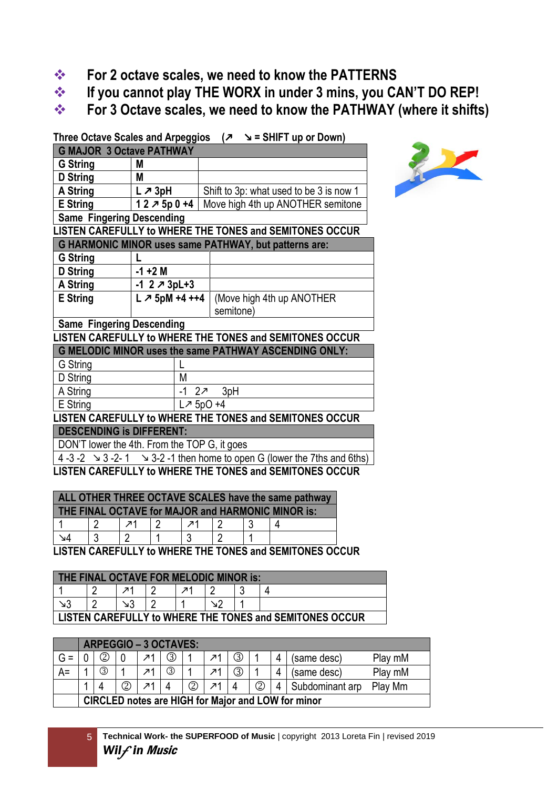- ❖ **For 2 octave scales, we need to know the PATTERNS**
- ❖ **If you cannot play THE WORX in under 3 mins, you CAN'T DO REP!**
- ❖ **For 3 Octave scales, we need to know the PATHWAY (where it shifts)**

**Three Octave Scales and Arpeggios ( = SHIFT up or Down) G MAJOR 3 Octave PATHWAY G String M D String M A String**  $\vert L \nearrow 3pH \vert$  Shift to 3p: what used to be 3 is now 1 **E String 1 2 5p 0 +4** Move high 4th up ANOTHER semitone **Same Fingering Descending LISTEN CAREFULLY to WHERE THE TONES and SEMITONES OCCUR G HARMONIC MINOR uses same PATHWAY, but patterns are: G String L D String -1 +2 M A String -1 2 3pL+3 E String**  $\vert L \nearrow 5$ **pM**  $+4 ++4$  (Move high 4th up ANOTHER semitone) **Same Fingering Descending LISTEN CAREFULLY to WHERE THE TONES and SEMITONES OCCUR G MELODIC MINOR uses the same PATHWAY ASCENDING ONLY:** G String L D String M A String  $\vert 1 \vert 2 \pi$  3pH E String  $\left| \begin{array}{cc} \sqrt{2} & \sqrt{2} & \sqrt{2} \\ \sqrt{2} & \sqrt{2} & \sqrt{2} & \sqrt{2} \\ \sqrt{2} & \sqrt{2} & \sqrt{2} & \sqrt{2} \\ \sqrt{2} & \sqrt{2} & \sqrt{2} & \sqrt{2} \\ \sqrt{2} & \sqrt{2} & \sqrt{2} & \sqrt{2} \\ \sqrt{2} & \sqrt{2} & \sqrt{2} & \sqrt{2} \\ \sqrt{2} & \sqrt{2} & \sqrt{2} & \sqrt{2} \\ \sqrt{2} & \sqrt{2} & \sqrt{2} & \sqrt{2} \\ \sqrt{2} & \sqrt{2} & \sqrt{$ **LISTEN CAREFULLY to WHERE THE TONES and SEMITONES OCCUR DESCENDING is DIFFERENT:**



DON'T lower the 4th. From the TOP G, it goes

4 -3 -2  $\rightarrow$  3 -2- 1  $\rightarrow$  3-2 -1 then home to open G (lower the 7ths and 6ths)

**LISTEN CAREFULLY to WHERE THE TONES and SEMITONES OCCUR**

| ALL OTHER THREE OCTAVE SCALES have the same pathway |  |    |  |  |  |  |  |
|-----------------------------------------------------|--|----|--|--|--|--|--|
| THE FINAL OCTAVE for MAJOR and HARMONIC MINOR is:   |  |    |  |  |  |  |  |
|                                                     |  | 1ת |  |  |  |  |  |
|                                                     |  |    |  |  |  |  |  |

**LISTEN CAREFULLY to WHERE THE TONES and SEMITONES OCCUR**

| <b>THE FINAL OCTAVE FOR MELODIC MINOR is:</b>           |  |  |  |  |  |  |  |
|---------------------------------------------------------|--|--|--|--|--|--|--|
|                                                         |  |  |  |  |  |  |  |
|                                                         |  |  |  |  |  |  |  |
| LISTEN CAREFULLY to WHERE THE TONES and SEMITONES OCCUR |  |  |  |  |  |  |  |

|       | ARPEGGIO – 3 OCTAVES:                                             |   |  |  |     |  |                |    |  |             |         |
|-------|-------------------------------------------------------------------|---|--|--|-----|--|----------------|----|--|-------------|---------|
| $G =$ |                                                                   |   |  |  | (3) |  | л1             | 3) |  | (same desc) | Play mM |
| $A =$ |                                                                   | ③ |  |  |     |  | 7 <sup>1</sup> |    |  | (same desc) | Play mM |
|       | 0<br>②<br>②<br>Subdominant arp<br>Play Mm<br>$\overline{4}$<br>71 |   |  |  |     |  |                |    |  |             |         |
|       | <b>CIRCLED notes are HIGH for Major and LOW for minor</b>         |   |  |  |     |  |                |    |  |             |         |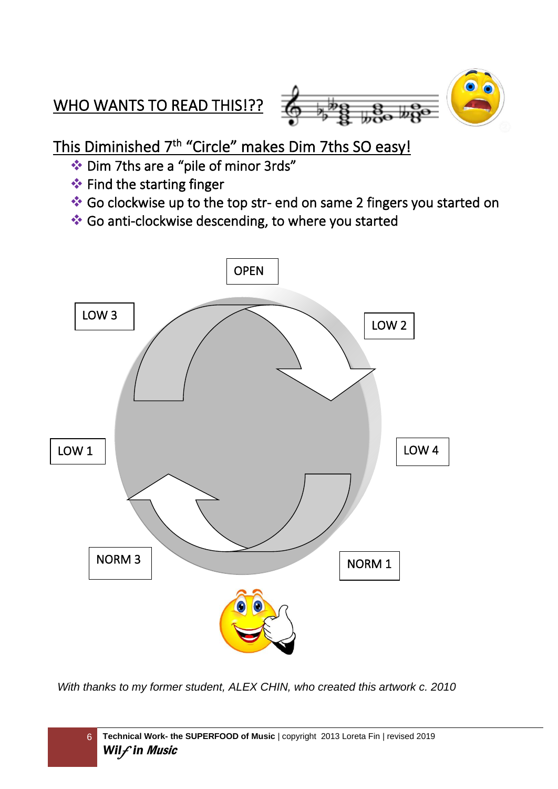# WHO WANTS TO READ THIS!??



This Diminished 7<sup>th</sup> "Circle" makes Dim 7ths SO easy!

- ❖ Dim 7ths are a "pile of minor 3rds"
- ❖ Find the starting finger
- ❖ Go clockwise up to the top str- end on same 2 fingers you started on
- ❖ Go anti-clockwise descending, to where you started



*With thanks to my former student, ALEX CHIN, who created this artwork c. 2010*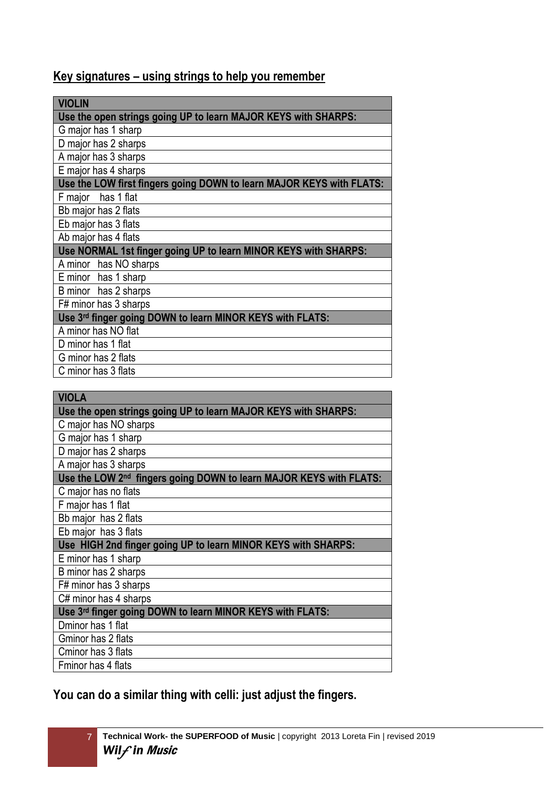### **Key signatures – using strings to help you remember**

| VIOLIN                                                               |  |  |  |  |  |
|----------------------------------------------------------------------|--|--|--|--|--|
| Use the open strings going UP to learn MAJOR KEYS with SHARPS:       |  |  |  |  |  |
| G major has 1 sharp                                                  |  |  |  |  |  |
| D major has 2 sharps                                                 |  |  |  |  |  |
| A major has 3 sharps                                                 |  |  |  |  |  |
| E major has 4 sharps                                                 |  |  |  |  |  |
| Use the LOW first fingers going DOWN to learn MAJOR KEYS with FLATS: |  |  |  |  |  |
| F major<br>has 1 flat                                                |  |  |  |  |  |
| Bb major has 2 flats                                                 |  |  |  |  |  |
| Eb major has 3 flats                                                 |  |  |  |  |  |
| Ab major has 4 flats                                                 |  |  |  |  |  |
| Use NORMAL 1st finger going UP to learn MINOR KEYS with SHARPS:      |  |  |  |  |  |
| A minor has NO sharps                                                |  |  |  |  |  |
| E minor has 1 sharp                                                  |  |  |  |  |  |
| B minor has 2 sharps                                                 |  |  |  |  |  |
| F# minor has 3 sharps                                                |  |  |  |  |  |
| Use 3rd finger going DOWN to learn MINOR KEYS with FLATS:            |  |  |  |  |  |
| A minor has NO flat                                                  |  |  |  |  |  |
| D minor has 1 flat                                                   |  |  |  |  |  |
| G minor has 2 flats                                                  |  |  |  |  |  |
| C minor has 3 flats                                                  |  |  |  |  |  |

| <b>VIOLA</b>                                                       |
|--------------------------------------------------------------------|
| Use the open strings going UP to learn MAJOR KEYS with SHARPS:     |
| C major has NO sharps                                              |
| G major has 1 sharp                                                |
| D major has 2 sharps                                               |
| A major has 3 sharps                                               |
| Use the LOW 2nd fingers going DOWN to learn MAJOR KEYS with FLATS: |
| C major has no flats                                               |
| F major has 1 flat                                                 |
| Bb major has 2 flats                                               |
| Eb major has 3 flats                                               |
| Use HIGH 2nd finger going UP to learn MINOR KEYS with SHARPS:      |
| E minor has 1 sharp                                                |
| B minor has 2 sharps                                               |
| F# minor has 3 sharps                                              |
| C# minor has 4 sharps                                              |
| Use 3rd finger going DOWN to learn MINOR KEYS with FLATS:          |
| Dminor has 1 flat                                                  |
| Gminor has 2 flats                                                 |
| Cminor has 3 flats                                                 |
| Fminor has 4 flats                                                 |

**You can do a similar thing with celli: just adjust the fingers.**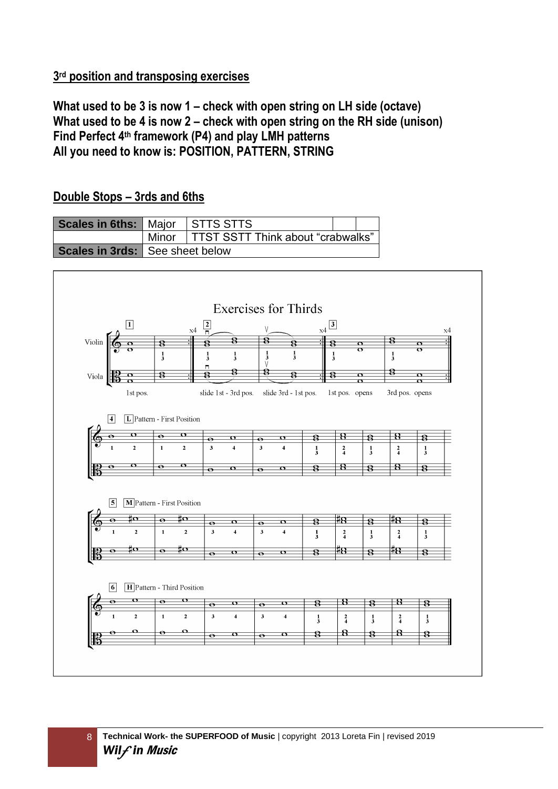### **3 rd position and transposing exercises**

**What used to be 3 is now 1 – check with open string on LH side (octave) What used to be 4 is now 2 – check with open string on the RH side (unison) Find Perfect 4th framework (P4) and play LMH patterns All you need to know is: POSITION, PATTERN, STRING**

#### **Scales in 6ths:** Major STTS STTS Minor TTST SSTT Think about "crabwalks" **Scales in 3rds:** See sheet below **Exercises for Thirds**  $x4\overline{3}$  $\frac{2}{n}$  $\overline{1}$  $\overline{\mathbf{R}}$ Violin  $\overline{\mathbf{R}}$  $\overline{\mathbf{R}}$  $\sigma$  $\overline{\mathbf{r}}$  $\frac{1}{2}$  $\frac{1}{3}$  $\frac{1}{3}$  $\frac{1}{2}$  $\frac{1}{3}$  $\frac{1}{3}$  $\frac{1}{3}$  $\dot{\mathbf{a}}$  $\mathbf{R}$  $\overline{\mathbf{B}}$  $\overline{\mathbf{R}}$  $V$ iola  $\frac{1}{10}$  $\overline{\mathcal{B}}$  $\overline{\sigma}$  $\overline{\sigma}$  $\overline{\mathbf{C}}$ 1st pos. slide 1st - 3rd pos. slide 3rd - 1st pos. 1st pos. opens 3rd pos. opens  $\sqrt{4}$  $\boxed{\mathbf{L}}$  Pattern - First Position  $\overline{\mathbf{B}}$  $\overline{\mathbf{o}}$  $\overline{\mathbf{R}}$  $\overline{\mathbf{R}}$ 8  $\overline{\phantom{a}}$  $\overline{4}$  $\overline{\mathbf{3}}$  $\overline{4}$  $\frac{2}{4}$  $\frac{2}{4}$  $\frac{1}{3}$  $\frac{1}{3}$  $\frac{1}{3}$  $\overline{R}$  $\overline{\mathcal{B}}$  $\overline{\bullet}$  $\overline{\mathbf{R}}$  $\overline{\mathbf{R}}$  $\overline{\mathbf{8}}$  $\boxed{5}$   $\boxed{\textbf{M}}$  Pattern - First Position  $\frac{4}{8}$  $\overline{\mathbf{R}}$ #8  $\overline{\mathbf{c}}$  $\overline{\mathbf{c}}$  $\overline{\mathbf{R}}$  $\overline{\mathbf{g}}$  $\overline{\bullet}$  $\overline{\mathbf{3}}$  $\overline{4}$  $\overline{\mathbf{3}}$  $\overline{4}$  $\frac{2}{4}$  $\frac{2}{4}$  $\frac{1}{3}$  $\frac{1}{3}$  $\frac{1}{3}$  $\overline{\textbf{B}}$ <del>‼Β</del>  $\overline{\mathbf{g}}$  $\overline{\bullet}$  $\overline{\mathbf{o}}$  $\overline{\mathbf{B}}$  $\overline{\mathbf{8}}$  $\overline{\bullet}$ **6 H** Pattern - Third Position  $\overline{\mathbf{g}}$ <u>8</u>  $\overline{\mathbf{R}}$ 8  $\bar{\mathbf{z}}$  $\bullet$  $\overline{\mathbf{3}}$  $\overline{4}$  $\overline{\mathbf{3}}$  $\mathbf 1$  $\mathbf{2}$  $\overline{\mathbf{4}}$  $\frac{1}{3}$  $\frac{2}{4}$  $\frac{1}{3}$  $\frac{2}{4}$  $\frac{1}{3}$  $\overline{\mathbf{g}}$  $\overline{\mathbf{B}}$  $\bf{a}$  $\overline{\mathbf{g}}$  $\overline{\mathbf{8}}$  $\overline{\bullet}$  $\overline{\bullet}$

### **Double Stops – 3rds and 6ths**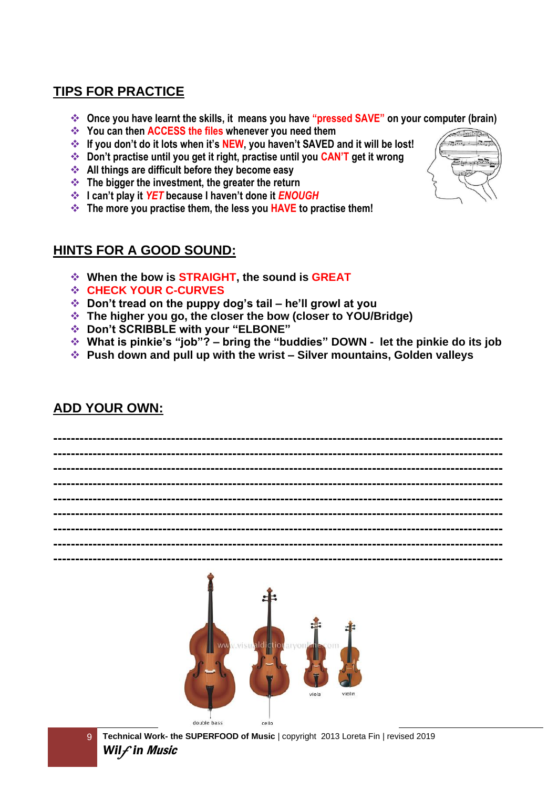### **TIPS FOR PRACTICE**

- ❖ **Once you have learnt the skills, it means you have "pressed SAVE" on your computer (brain)**
- ❖ **You can then ACCESS the files whenever you need them**
- ❖ **If you don't do it lots when it's NEW, you haven't SAVED and it will be lost!**
- ❖ **Don't practise until you get it right, practise until you CAN'T get it wrong**
- ❖ **All things are difficult before they become easy**
- ❖ **The bigger the investment, the greater the return**
- ❖ **I can't play it** *YET* **because I haven't done it** *ENOUGH*
- ❖ **The more you practise them, the less you HAVE to practise them!**

### **HINTS FOR A GOOD SOUND:**

- ❖ **When the bow is STRAIGHT, the sound is GREAT**
- ❖ **CHECK YOUR C-CURVES**
- ❖ **Don't tread on the puppy dog's tail – he'll growl at you**
- ❖ **The higher you go, the closer the bow (closer to YOU/Bridge)**
- ❖ **Don't SCRIBBLE with your "ELBONE"**
- ❖ **What is pinkie's "job"? – bring the "buddies" DOWN - let the pinkie do its job**
- ❖ **Push down and pull up with the wrist – Silver mountains, Golden valleys**

### **ADD YOUR OWN:**



9 **Technical Work- the SUPERFOOD of Music** *|* copyright 2013 Loreta Fin | revised 2019 *Wil*f *in* Music